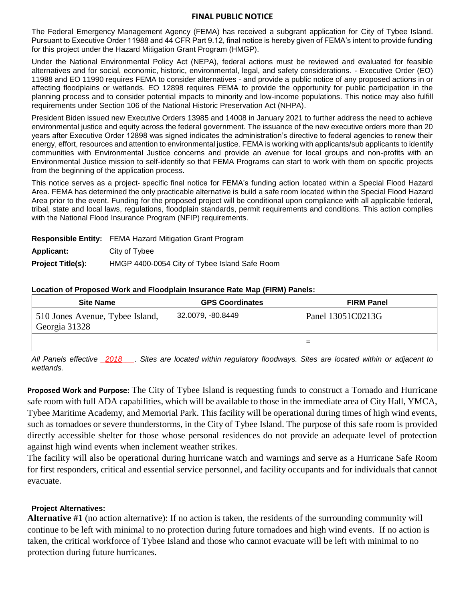## **FINAL PUBLIC NOTICE**

The Federal Emergency Management Agency (FEMA) has received a subgrant application for City of Tybee Island. Pursuant to Executive Order 11988 and 44 CFR Part 9.12, final notice is hereby given of FEMA's intent to provide funding for this project under the Hazard Mitigation Grant Program (HMGP).

Under the National Environmental Policy Act (NEPA), federal actions must be reviewed and evaluated for feasible alternatives and for social, economic, historic, environmental, legal, and safety considerations. - Executive Order (EO) 11988 and EO 11990 requires FEMA to consider alternatives - and provide a public notice of any proposed actions in or affecting floodplains or wetlands. EO 12898 requires FEMA to provide the opportunity for public participation in the planning process and to consider potential impacts to minority and low-income populations. This notice may also fulfill requirements under Section 106 of the National Historic Preservation Act (NHPA).

President Biden issued new Executive Orders 13985 and 14008 in January 2021 to further address the need to achieve environmental justice and equity across the federal government. The issuance of the new executive orders more than 20 years after Executive Order 12898 was signed indicates the administration's directive to federal agencies to renew their energy, effort, resources and attention to environmental justice. FEMA is working with applicants/sub applicants to identify communities with Environmental Justice concerns and provide an avenue for local groups and non-profits with an Environmental Justice mission to self-identify so that FEMA Programs can start to work with them on specific projects from the beginning of the application process.

This notice serves as a project‐ specific final notice for FEMA's funding action located within a Special Flood Hazard Area. FEMA has determined the only practicable alternative is build a safe room located within the Special Flood Hazard Area prior to the event. Funding for the proposed project will be conditional upon compliance with all applicable federal, tribal, state and local laws, regulations, floodplain standards, permit requirements and conditions. This action complies with the National Flood Insurance Program (NFIP) requirements.

|                          | <b>Responsible Entity:</b> FEMA Hazard Mitigation Grant Program |  |  |  |
|--------------------------|-----------------------------------------------------------------|--|--|--|
| <b>Applicant:</b>        | City of Tybee                                                   |  |  |  |
| <b>Project Title(s):</b> | HMGP 4400-0054 City of Tybee Island Safe Room                   |  |  |  |

## **Location of Proposed Work and Floodplain Insurance Rate Map (FIRM) Panels:**

| <b>Site Name</b>                                 | <b>GPS Coordinates</b> | <b>FIRM Panel</b> |  |  |
|--------------------------------------------------|------------------------|-------------------|--|--|
| 510 Jones Avenue, Tybee Island,<br>Georgia 31328 | 32.0079, -80.8449      | Panel 13051C0213G |  |  |
|                                                  |                        | -                 |  |  |

*All Panels effective \_2018\_\_\_. Sites are located within regulatory floodways. Sites are located within or adjacent to wetlands.*

**Proposed Work and Purpose:** The City of Tybee Island is requesting funds to construct a Tornado and Hurricane safe room with full ADA capabilities, which will be available to those in the immediate area of City Hall, YMCA, Tybee Maritime Academy, and Memorial Park. This facility will be operational during times of high wind events, such as tornadoes or severe thunderstorms, in the City of Tybee Island. The purpose of this safe room is provided directly accessible shelter for those whose personal residences do not provide an adequate level of protection against high wind events when inclement weather strikes.

The facility will also be operational during hurricane watch and warnings and serve as a Hurricane Safe Room for first responders, critical and essential service personnel, and facility occupants and for individuals that cannot evacuate.

## **Project Alternatives:**

**Alternative #1** (no action alternative): If no action is taken, the residents of the surrounding community will continue to be left with minimal to no protection during future tornadoes and high wind events. If no action is taken, the critical workforce of Tybee Island and those who cannot evacuate will be left with minimal to no protection during future hurricanes.